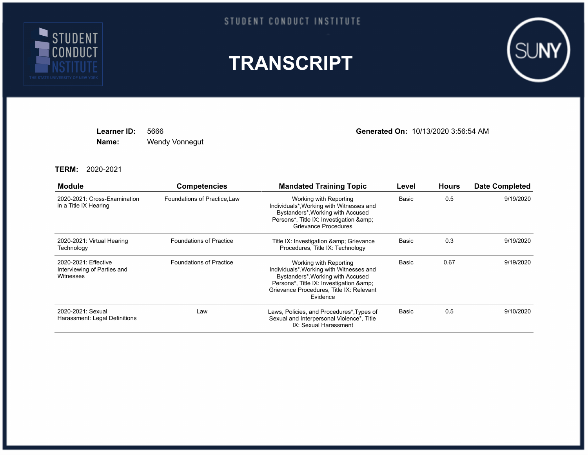

## STUDENT CONDUCT INSTITUTE





**Name:** Wendy Vonnegut

**Learner ID:** 5666 **Generated On:** 10/13/2020 3:56:54 AM

## **TERM:** 2020-2021

| <b>Module</b>                                                    | <b>Competencies</b>            | <b>Mandated Training Topic</b>                                                                                                                                                                              | Level | <b>Hours</b> | <b>Date Completed</b> |
|------------------------------------------------------------------|--------------------------------|-------------------------------------------------------------------------------------------------------------------------------------------------------------------------------------------------------------|-------|--------------|-----------------------|
| 2020-2021: Cross-Examination<br>in a Title IX Hearing            | Foundations of Practice, Law   | Working with Reporting<br>Individuals*, Working with Witnesses and<br>Bystanders*, Working with Accused<br>Persons*, Title IX: Investigation &<br>Grievance Procedures                                      | Basic | 0.5          | 9/19/2020             |
| 2020-2021: Virtual Hearing<br>Technology                         | <b>Foundations of Practice</b> | Title IX: Investigation & amp; Grievance<br>Procedures, Title IX: Technology                                                                                                                                | Basic | 0.3          | 9/19/2020             |
| 2020-2021: Effective<br>Interviewing of Parties and<br>Witnesses | <b>Foundations of Practice</b> | Working with Reporting<br>Individuals*, Working with Witnesses and<br>Bystanders*, Working with Accused<br>Persons*, Title IX: Investigation & amp;<br>Grievance Procedures, Title IX: Relevant<br>Evidence | Basic | 0.67         | 9/19/2020             |
| 2020-2021: Sexual<br>Harassment: Legal Definitions               | Law                            | Laws, Policies, and Procedures*, Types of<br>Sexual and Interpersonal Violence*, Title<br>IX: Sexual Harassment                                                                                             | Basic | 0.5          | 9/10/2020             |